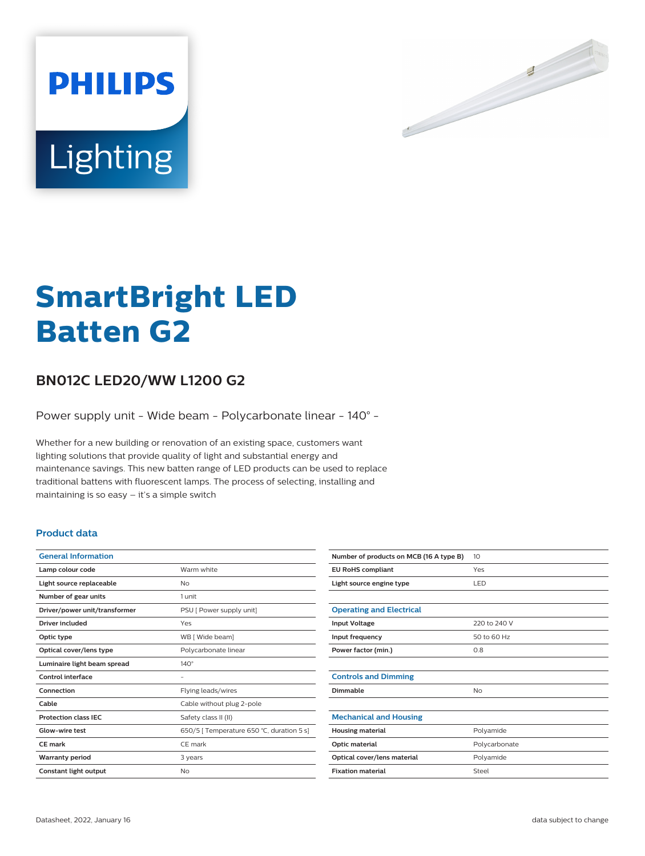

# Lighting

**PHILIPS** 

# **SmartBright LED Batten G2**

# **BN012C LED20/WW L1200 G2**

Power supply unit - Wide beam - Polycarbonate linear - 140° -

Whether for a new building or renovation of an existing space, customers want lighting solutions that provide quality of light and substantial energy and maintenance savings. This new batten range of LED products can be used to replace traditional battens with fluorescent lamps. The process of selecting, installing and maintaining is so easy – it's a simple switch

## **Product data**

| <b>General Information</b>    |                                           |
|-------------------------------|-------------------------------------------|
| Lamp colour code              | Warm white                                |
| Light source replaceable      | No                                        |
| Number of gear units          | 1 unit                                    |
| Driver/power unit/transformer | PSU [ Power supply unit]                  |
| <b>Driver included</b>        | Yes                                       |
| Optic type                    | WB [ Wide beam]                           |
| Optical cover/lens type       | Polycarbonate linear                      |
| Luminaire light beam spread   | $140^\circ$                               |
| Control interface             |                                           |
| Connection                    | Flying leads/wires                        |
| Cable                         | Cable without plug 2-pole                 |
| <b>Protection class IEC</b>   | Safety class II (II)                      |
| Glow-wire test                | 650/5   Temperature 650 °C, duration 5 s] |
| <b>CE</b> mark                | CE mark                                   |
| <b>Warranty period</b>        | 3 years                                   |
| Constant light output         | No                                        |

| Number of products on MCB (16 A type B) | 10            |
|-----------------------------------------|---------------|
| <b>EU RoHS compliant</b>                | Yes           |
| Light source engine type                | <b>LED</b>    |
|                                         |               |
| <b>Operating and Electrical</b>         |               |
| <b>Input Voltage</b>                    | 220 to 240 V  |
| Input frequency                         | 50 to 60 Hz   |
| Power factor (min.)                     | 0.8           |
|                                         |               |
| <b>Controls and Dimming</b>             |               |
| Dimmable                                | No            |
|                                         |               |
| <b>Mechanical and Housing</b>           |               |
| <b>Housing material</b>                 | Polyamide     |
| Optic material                          | Polycarbonate |
| Optical cover/lens material             | Polyamide     |
| <b>Fixation material</b>                | Steel         |
|                                         |               |